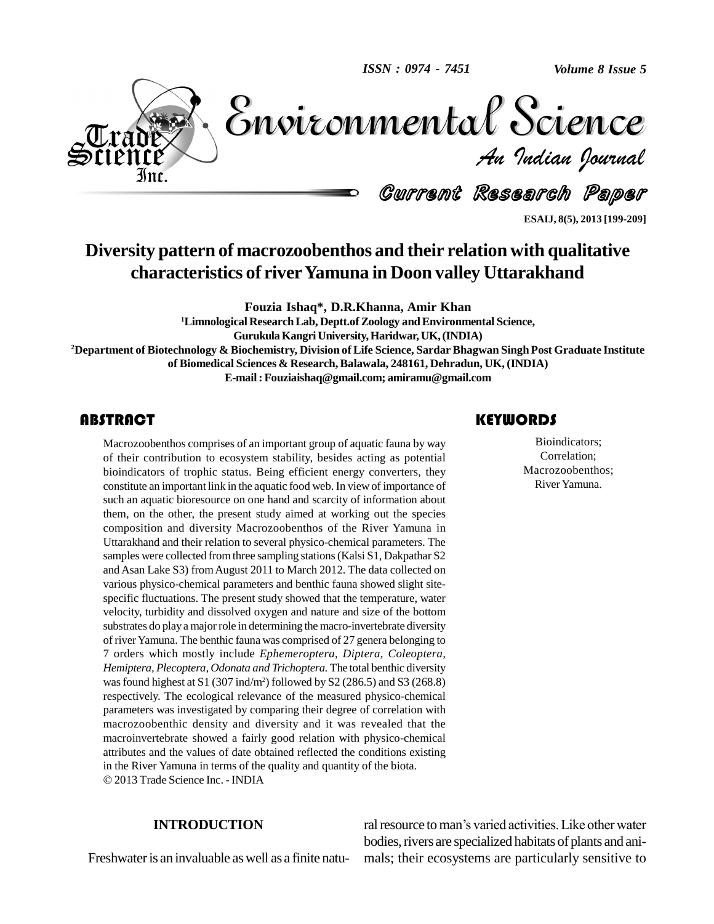*ISSN : 0974 - 7451*

*Volume 8 Issue 5*



Volume 8 Issue 5 *Indian Journal* Volume 8 Issue 5

Current Research Paper

**ESAIJ, 8(5), 2013 [199-209]**

# **Diversity pattern of macrozoobenthos and their relation with qualitative characteristics of riverYamuna in Doon valley Uttarakhand**

**Fouzia Ishaq\*, D.R.Khanna, Amir Khan**

**<sup>1</sup>Limnological ResearchLab, Deptt.ofZoology andEnvironmental Science, GurukulaKangriUniversity,Haridwar, UK,(INDIA) <sup>2</sup>Department of Biotechnology & Biochemistry, Division ofLife Science, Sardar Bhagwan Singh Post Graduate Institute of Biomedical Sciences & Research,Balawala, 248161, Dehradun, UK, (INDIA) E-mail:[Fouziaishaq@gmail.com;](mailto:Fouziaishaq@gmail.com;) [amiramu@gmail.com](mailto:amiramu@gmail.com)**

Macrozoobenthos comprises of an important group of aquatic fauna by way<br>of their contribution to ecosystem stability, besides acting as potential<br>bioindicators of trophic status. Being efficient energy converters, they Macrozoobenthos comprises of an important group of aquatic fauna by way of their contribution to ecosystem stability, besides acting as potential constitute an important link in the aquatic food web. In view of importance of such an aquatic bioresource on one hand and scarcity of information about them, on the other, the present study aimed at working out the species composition and diversity Macrozoobenthos of the River Yamuna in Uttarakhand and their relation to several physico-chemical parameters. The samples were collected from three sampling stations (Kalsi S1, Dakpathar S2 and Asan Lake S3) fromAugust 2011 to March 2012. The data collected on various physico-chemical parameters and benthic fauna showed slight site specific fluctuations. The present study showed that the temperature, water velocity, turbidity and dissolved oxygen and nature and size of the bottom substrates do play a major role in determining the macro-invertebrate diversity of riverYamuna. The benthic fauna was comprised of 27 genera belonging to 7 orders which mostly include *Ephemeroptera, Diptera, Coleoptera, Hemiptera, Plecoptera, Odonata and Trichoptera.* The total benthic diversity was found highest at S1 (307 ind/m<sup>2</sup>) followed by S2 (286.5) and S3 (268.8) respectively. The ecological relevance of the measured physico-chemical parameters was investigated by comparing their degree of correlation with macrozoobenthic density and diversity and it was revealed that the macroinvertebrate showed a fairly good relation with physico-chemical attributes and the values of date obtained reflected the conditions existing in the River Yamuna in terms of the quality and quantity of the biota. 2013 Trade Science Inc. - INDIA

### **KEYWORDS**

Bioindicators;<br>Correlation;<br>Macrozoobenthos; Bioindicators; Correlation; River Yamuna.

#### **INTRODUCTION**

Freshwateris an invaluable aswell as a finite natu-

ral resource to man's varied activities. Like other water bodies, rivers are specialized habitats of plants and animals; their ecosystems are particularly sensitive to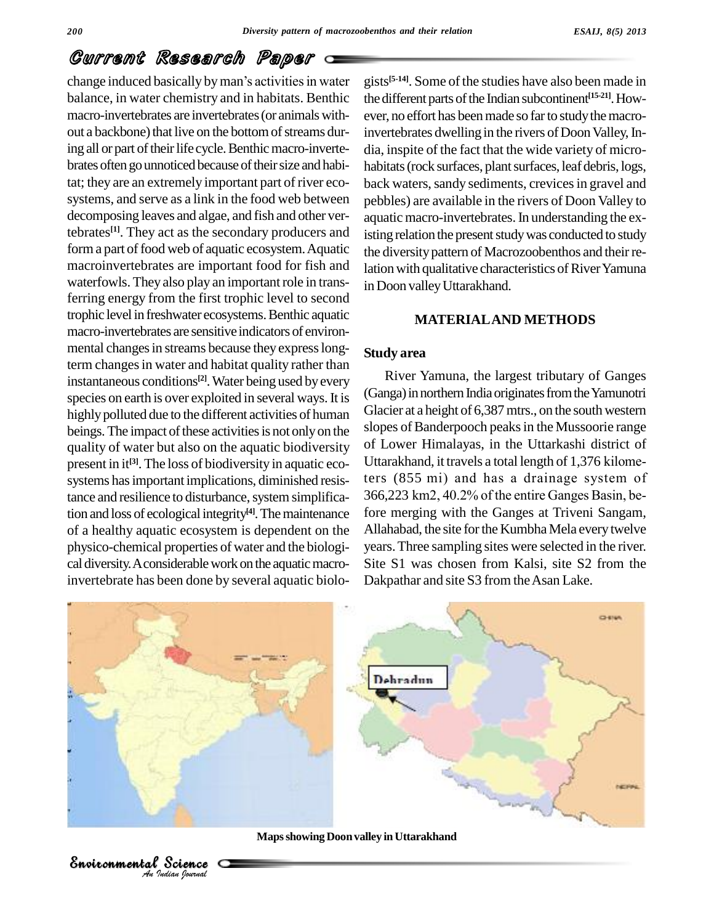change induced basically by man's activities in water balance, in water chemistry and in habitats. Benthic macro-invertebrates are invertebrates (or animals without a backbone) that live on the bottom of streams during all or part of their life cycle. Benthic macro-invertebrates often go unnoticed because of their size and habitat; they are an extremely important part of river eco systems, and serve as a link in the food web between decomposing leaves and algae, and fish and other vertebrates<sup>[1]</sup>. They act as the secondary producers and isting re form a part of food web of aquatic ecosystem. Aquatic macroinvertebrates are important food for fish and waterfowls. They also play an important role in transferring energy from the first trophic level to second trophic level in freshwater ecosystems. Benthic aquatic macro-invertebrates are sensitive indicators of environ mental changes in streams because they express longterm changes in water and habitat quality rather than instantaneous conditions<sup>[2]</sup>. Water being used by every species on earth is over exploited in several ways. It is highly polluted due to the different activities of human beings. The impact of these activities is not only on the quality of water but also on the aquatic biodiversity present in it<sup>[3]</sup>. The loss of biodiversity in aquatic ecotance and resilience to disturbance, system simplification and loss of ecological integrity<sup>[4]</sup>. The maintenance fore n of a healthy aquatic ecosystem is dependent on the physico-chemical properties of water and the biologi cal diversity. A considerable work on the aquatic macroinvertebrate has been done by several aquatic biolo-

gists<sup>[5-14]</sup>. Some of the studies have also been made in the different parts of the Indian subcontinent<sup>[15-21]</sup>. However, no effort has been made so far to study the macroinvertebrates dwelling in the rivers of Doon Valley, India, inspite of the fact that the wide variety of micro habitats (rock surfaces, plant surfaces, leaf debris, logs, back waters, sandy sediments, crevices in gravel and pebbles) are available in the rivers of Doon Valley to aquatic macro-invertebrates.In understanding the existing relation the present study was conducted to study the diversity pattern of Macrozoobenthos and their relation with qualitative characteristics of River Yamuna in Doon valley Uttarakhand.

#### **MATERIALAND METHODS**

### **Study area**

systems has important implications, diminished resis-<br>ters (855 mi) and has a drainage system of<br>tance and resilience to disturbance, system simplifica-<br> $366,223$  km2, 40.2% of the entire Ganges Basin, be-River Yamuna, the largest tributary of Ganges (Ganga) in northern India originates from the Yamunotri Glacier at a height of 6,387mtrs., on the south western slopes of Banderpooch peaks in the Mussoorie range of Lower Himalayas, in the Uttarkashi district of slopes of Banderpooch peaks in the Mussoorie range<br>of Lower Himalayas, in the Uttarkashi district of<br>Uttarakhand, it travels a total length of 1,376 kilomeof Lower Himalayas, in the Uttarkashi district of<br>Uttarakhand, it travels a total length of 1,376 kilome-<br>ters (855 mi) and has a drainage system of Uttarakhand, it travels a total length of 1,376 kilometers (855 mi) and has a drainage system of 366,223 km2, 40.2% of the entire Ganges Basin, before merging with the Ganges at Triveni Sangam, Allahabad, the site for the Kumbha Mela every twelve years.Three sampling sites were selected in the river. Site S1 was chosen from Kalsi, site S2 from the Dakpathar and site S3 from the Asan Lake.



**Mapsshowing Doonvalley inUttarakhand**

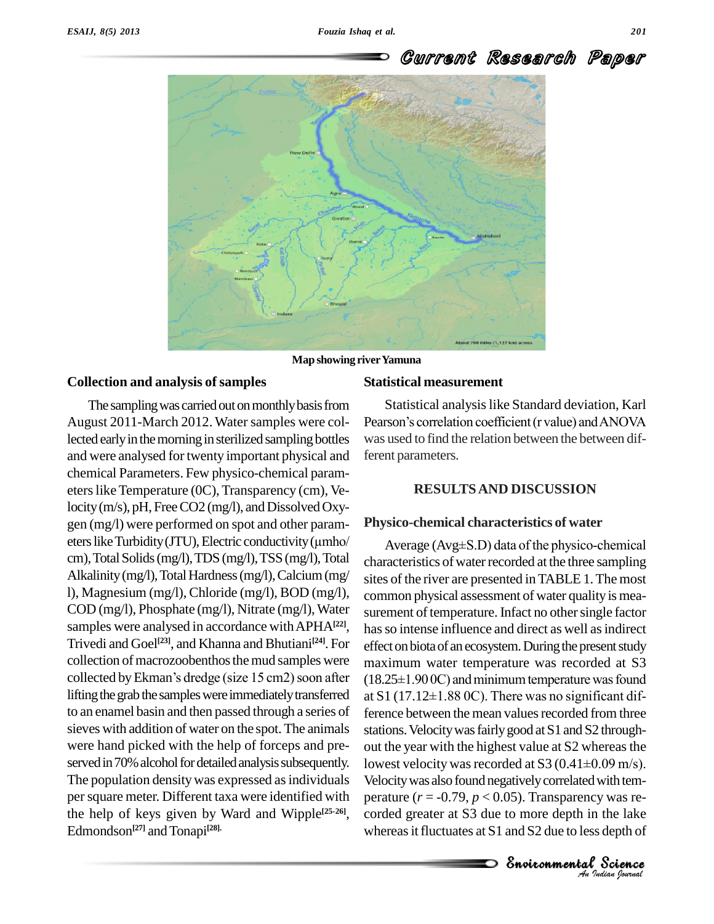

**Map showing riverYamuna**

#### **Collection and analysis ofsamples**

The sampling was carried out on monthly basis from August 2011-March 2012. Water samples were collected early in the morning in sterilized sampling bottles and were analysed for twenty important physical and chemical Parameters. Few physico-chemical param eters like Temperature (0C), Transparency (cm), Velocity (m/s), pH, Free CO2 (mg/l), and Dissolved Oxygen (mg/l) were performed on spot and other param-<br>eters like Turbidity (JTU), Electric conductivity (µmho/ gen (mg/l) were performed on spot and other param cm),TotalSolids(mg/l),TDS (mg/l),TSS(mg/l),Total Alkalinity (mg/l), Total Hardness (mg/l), Calcium (mg/ l), Magnesium (mg/l),Chloride (mg/l), BOD (mg/l), COD (mg/l), Phosphate (mg/l), Nitrate (mg/l), Water samples were analysed in accordance with APHA<sup>[22]</sup>, Trivedi and Goel **[23]**, and Khanna and Bhutiani **[24]**. For collection of macrozoobenthos the mud samples were  $_{\text{max}}$ Trivedi and Goel<sup>[23]</sup>, and Khanna and Bhutiani<sup>[24]</sup>. For effecollection of macrozoobenthos the mud samples were max collected by Ekman's dredge (size  $15 \text{ cm}$ 2) soon after (18. lifting the grab the samples were immediately transferred  $at S1 (17.12 \pm 1.880C)$ . There was no significant difto an enamel basin and then passed through a series of sieves with addition of water on the spot. The animals were hand picked with the help of forceps and pre served in 70% alcohol for detailed analysis subsequently. The population density was expressed as individuals per square meter. Different taxa were identified with the help of keys given by Ward and Wipple<sup>[25-26]</sup>, co Edmondson<sup>[27]</sup> and Tonapi<sup>[28].</sup>

#### **Statistical measurement**

Statistical analysislike Standard deviation, Karl Pearson's correlation coefficient (r value) and ANOVA was used to find the relation between the between different parameters.

### **RESULTSAND DISCUSSION**

#### **Physico-chemical characteristics of water**

Velocity was also found negatively correlated with temlowest velocity was recorded at S3 (0.41 $\pm$ 0.09 m/s). 09 m/s).<br>with tem-<br>/ was re-<br>the lake<br>depth of<br>**Science** Average  $(Avg \pm S.D)$  data of the physico-chemical characteristics of water recorded at the three sampling sites of the river are presented inTABLE 1.The most common physical assessment of water quality is measurement of temperature. Infact no other single factor has so intense influence and direct as well as indirect effect on biota of an ecosystem. During the present study<br>maximum water temperature was recorded at S3<br>(18.25±1.90 0C) and minimum temperature was found maximum water temperature was recorded at S3  $(18.25\pm1.900C)$  and minimum temperature was found ference between the mean values recorded from three stations. Velocity was fairly good at S1 and S2 throughout the year with the highest value at S2 whereas the stations. Velocity was fairly good at S1 and S2 through-<br>out the year with the highest value at S2 whereas the<br>lowest velocity was recorded at S3 (0.41±0.09 m/s). perature  $(r = -0.79, p < 0.05)$ . Transparency was recorded greater at S3 due to more depth in the lake whereas it fluctuates at  $S1$  and  $S2$  due to less depth of

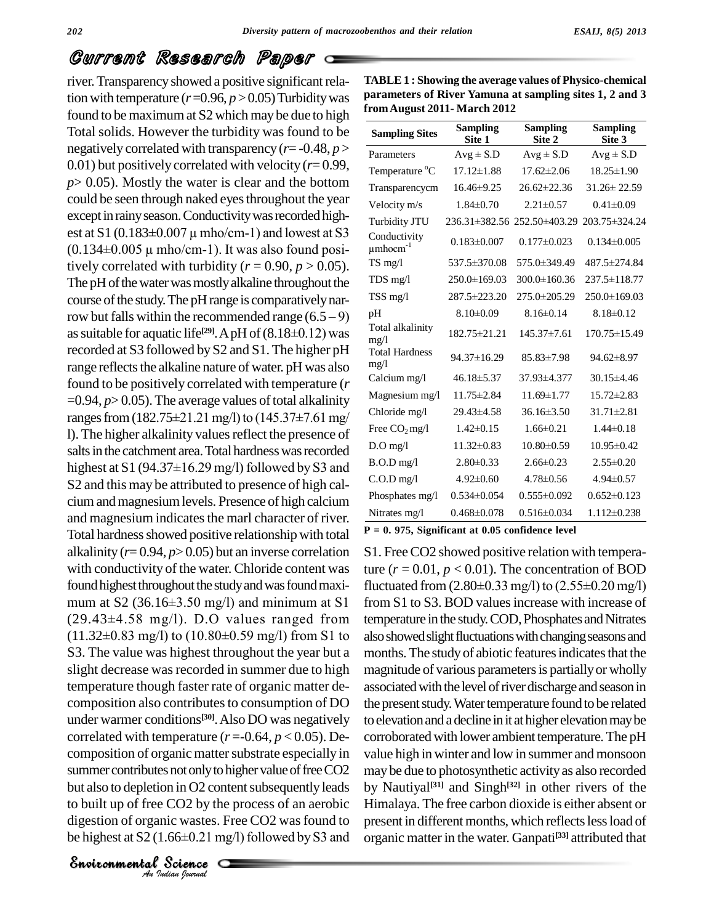summer contributes not only to higher value of free CO2 may be *Indiana Indiana Indiana <i>Journal Science <i>An Indian Journal Commental Journal <i>An Indian Journal <i>An Indian Journal***</del>** *<i>Age Algoring <i>An**Indian Journal**<b><i>Age Algoring* </del> *<i>Age Algoring <i>Age Algo* s not only to high<br>on in O2 conten<br>CO2 by the provides and<br>increases. Free<br>.66±0.21 mg/l)<br>Science river. Transparency showed a positive significant relation with temperature  $(r=0.96, p>0.05)$  Turbidity was found to be maximumat S2 which may be due to high Total solids. However the turbidity was found to be negatively correlated with transparency (*r*= -0.48, *p* > 0.01) but positively correlated with velocity (*r*= 0.99,  $p$  > 0.05). Mostly the water is clear and the bottom could be seen through naked eyes throughout the year except in rainy season. Conductivity was recorded high- $_{\text{Tur}}$ could be seen through naked eyes throughout the year<br>except in rainy season. Conductivity was recorded high-<br>est at S1 (0.183±0.007  $\mu$  mho/cm-1) and lowest at S3 est at S1 (0.183 $\pm$ 0.007  $\mu$  mho/cm-1) and lowest at S3<br>(0.134 $\pm$ 0.005  $\mu$  mho/cm-1). It was also found positively correlated with turbidity ( $r = 0.90$ ,  $p > 0.05$ ). The pH of the water was mostly alkaline throughout the course of the study. The pH range is comparatively nar-The pH of the water was mostly alkaline throughout the course of the study. The pH range is comparatively narrow but falls within the recommended range  $(6.5-9)$  pH as suitable for aquatic life<sup>[29]</sup>. A pH of  $(8.18\pm0.12)$  was **H** range is comparatively nar-<br> **EXECUTE:** EXECUTE:  $\frac{pH}{(29)}$ . ApH of  $(8.18\pm0.12)$  was recorded at S3 followed by S2 and S1.The higher pH range reflects the alkaline nature of water. pH was also found to be positively correlated with temperature (*r*  $=0.94, p>0.05$ ). The average values of total alkalinity Magnetic manges from (182.75±21.21 mg/l) to (145.37±7.61 mg/  $=0.94, p>0.05$ . The average values of total alkalinity l). The higher alkalinity values reflect the presence of salts in the catchment area. Total hardness was recorded highest at S1 (94.37 $\pm$ 16.29 mg/l) followed by S3 and S2 and this may be attributed to presence of high cal ciumandmagnesiumlevels. Presence of high calcium and magnesium indicates the marl character of river. Total hardness showed positive relationship with total alkalinity  $(r= 0.94, p> 0.05)$  but an inverse correlation with conductivity of the water. Chloride content was ture (*r* found highest throughout the study and was found maxi-<br>mum at S2 (36.16±3.50 mg/l) and minimum at S1 from S found highest throughout the study and was found maxi-<br>mum at S2 (36.16±3.50 mg/l) and minimum at S1 from S1 to S<br>(29.43±4.58 mg/l). D.O values ranged from temperature mum at S2 (36.16±3.50 mg/l) and minimum at S1<br>(29.43±4.58 mg/l). D.O values ranged from<br>(11.32±0.83 mg/l) to (10.80±0.59 mg/l) from S1 to S3. The value was highest throughout the year but a slight decrease was recorded in summer due to high temperature though faster rate of organic matter de composition also contributes to consumption of DO under warmer conditions<sup>[30]</sup>. Also DO was negatively to eleva correlated with temperature  $(r = 0.64, p < 0.05)$ . Decomposition of organic matter substrate especially in but also to depletion in O2 content subsequently leads by N to built up of free CO2 by the process of an aerobic Himala<br>digestion of organic wastes. Free CO2 was found to present<br>be highest at S2 (1.66±0.21 mg/l) followed by S3 and organic digestion of organic wastes. Free CO2 was found to

**TABLE1 : Showing the average values of Physico-chemical parameters of River Yamuna at sampling sites 1,2 and 3 fromAugust 2011- March 2012**

| <b>Sampling Sites</b>               | <b>Sampling</b><br>Site 1 | <b>Sampling</b><br>Site 2                 | <b>Sampling</b><br>Site 3 |
|-------------------------------------|---------------------------|-------------------------------------------|---------------------------|
| Parameters                          | $Avg \pm S.D$             | $Avg \pm S.D$                             | $Avg \pm S.D$             |
| Temperature <sup>o</sup> C          | $17.12 \pm 1.88$          | $17.62 \pm 2.06$                          | 18.25±1.90                |
| Transparencycm                      | 16.46±9.25                | $26.62 \pm 22.36$                         | $31.26 \pm 22.59$         |
| Velocity m/s                        | $1.84 \pm 0.70$           | $2.21 \pm 0.57$                           | $0.41 \pm 0.09$           |
| Turbidity JTU                       |                           | 236.31±382.56 252.50±403.29 203.75±324.24 |                           |
| Conductivity<br>$\mu$ mhocm $^{-1}$ | $0.183 \pm 0.007$         | $0.177 \pm 0.023$                         | $0.134 \pm 0.005$         |
| $TS$ mg/l                           | 537.5±370.08              | 575.0±349.49                              | 487.5±274.84              |
| $TDS$ mg/l                          | $250.0 \pm 169.03$        | $300.0 \pm 160.36$                        | 237.5 ± 118.77            |
| TSS mg/l                            | 287.5±223.20              | 275.0±205.29                              | $250.0 \pm 169.03$        |
| pH                                  | $8.10 \pm 0.09$           | $8.16 \pm 0.14$                           | $8.18 \pm 0.12$           |
| Total alkalinity<br>mg/1            | 182.75±21.21              | $145.37\pm7.61$                           | 170.75 ± 15.49            |
| <b>Total Hardness</b><br>mg/1       | 94.37±16.29               | $85.83 \pm 7.98$                          | $94.62 \pm 8.97$          |
| Calcium mg/l                        | $46.18 \pm 5.37$          | 37.93±4.377                               | $30.15 \pm 4.46$          |
| Magnesium mg/l                      | $11.75 \pm 2.84$          | $11.69 \pm 1.77$                          | $15.72 \pm 2.83$          |
| Chloride mg/l                       | $29.43 \pm 4.58$          | $36.16 \pm 3.50$                          | $31.71 \pm 2.81$          |
| Free $CO2$ mg/l                     | $1.42 \pm 0.15$           | $1.66 \pm 0.21$                           | $1.44 \pm 0.18$           |
| $D.O$ mg/l                          | $11.32 \pm 0.83$          | $10.80 \pm 0.59$                          | $10.95 \pm 0.42$          |
| $B.O.D$ mg/l                        | $2.80 \pm 0.33$           | $2.66\pm0.23$                             | $2.55 \pm 0.20$           |
| $C.O.D$ mg/l                        | $4.92 \pm 0.60$           | $4.78 \pm 0.56$                           | $4.94 \pm 0.57$           |
| Phosphates mg/l                     | $0.534\pm0.054$           | $0.555 \pm 0.092$                         | $0.652 \pm 0.123$         |
| Nitrates mg/l                       | $0.468 \pm 0.078$         | $0.516 \pm 0.034$                         | $1.112 \pm 0.238$         |

**P = 0. 975, Significant at 0.05 confidence level**

S1. Free CO2 showed positive relation with temperature  $(r = 0.01, p < 0.01)$ . The concentration of BOD fluctuated from  $(2.80\pm0.33 \text{ mg/l})$  to  $(2.55\pm0.20 \text{ mg/l})$ ture  $(r = 0.01, p < 0.01)$ . The concentration of BOD from S1 to S3. BOD values increase with increase of temperature in the study. COD, Phosphates and Nitrates also showed slight fluctuations with changing seasons and months. The study of abiotic features indicates that the magnitude of various parameters is partially or wholly associated with the level of river discharge and season in the present study. Water temperature found to be related to elevation and a decline in it at higher elevation may be corroborated with lower ambient temperature.The pH value high in winter and low in summer and monsoon maybe due to photosynthetic activityas also recorded by Nautiyal **[31]** and Singh **[32]** in other rivers of the Himalaya. The free carbon dioxide is either absent or present in different months, which reflects less load of organic matter in the water. Ganpati **[33]** attributed that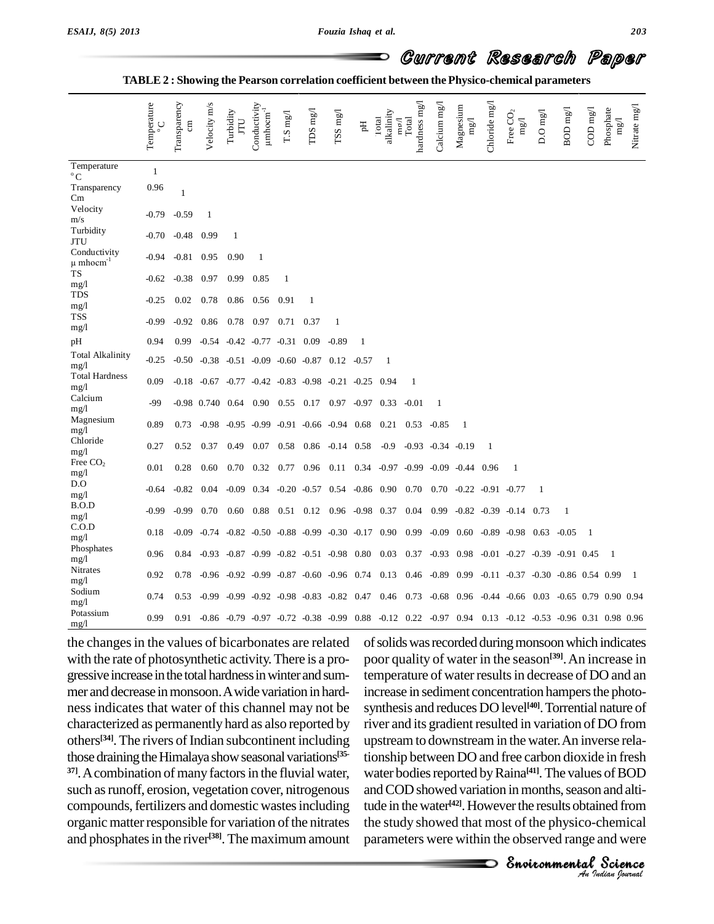**TABLE 2 : Showing the Pearson correlation coefficient between the Physico-chemical parameters**

|                                           | Temperature  | Transparency<br>$\overline{m}$ | Velocity m/s                                                    | Turbidity<br>LLI | Conductivity<br>$\mu$ mhocm $^{-1}$                    | T.S mg/l | TDS $mg/1$                          | TSS mg/l | E                                            | alkalinity<br>Total<br>$\log$ | hardness mg/l<br>Total | Calcium mg/l            | Magnesium<br>$\rm mg/$                                                                               | Chloride mg/l | Free $CO2$<br>$\rm{mg}$ | $D.O$ mg/l | BOD mg/l | $\rm{COD}$ mg/l | Phosphate<br>$\rm{mg}$ | Nitrate mg/l   |
|-------------------------------------------|--------------|--------------------------------|-----------------------------------------------------------------|------------------|--------------------------------------------------------|----------|-------------------------------------|----------|----------------------------------------------|-------------------------------|------------------------|-------------------------|------------------------------------------------------------------------------------------------------|---------------|-------------------------|------------|----------|-----------------|------------------------|----------------|
| Temperature<br>$^{\circ}$ C               | $\mathbf{1}$ |                                |                                                                 |                  |                                                        |          |                                     |          |                                              |                               |                        |                         |                                                                                                      |               |                         |            |          |                 |                        |                |
| Transparency<br>Cm                        | 0.96         | $\mathbf{1}$                   |                                                                 |                  |                                                        |          |                                     |          |                                              |                               |                        |                         |                                                                                                      |               |                         |            |          |                 |                        |                |
| Velocity<br>m/s                           | $-0.79$      | $-0.59$                        | -1                                                              |                  |                                                        |          |                                     |          |                                              |                               |                        |                         |                                                                                                      |               |                         |            |          |                 |                        |                |
| Turbidity<br>JTU                          | -0.70        | $-0.48$                        | 0.99                                                            | -1               |                                                        |          |                                     |          |                                              |                               |                        |                         |                                                                                                      |               |                         |            |          |                 |                        |                |
| Conductivity<br>$\mu$ mhocm <sup>-1</sup> | -0.94        | $-0.81$                        | 0.95                                                            | 0.90             | 1                                                      |          |                                     |          |                                              |                               |                        |                         |                                                                                                      |               |                         |            |          |                 |                        |                |
| TS<br>mg/1                                | $-0.62$      | $-0.38$                        | 0.97                                                            | 0.99             | 0.85                                                   | -1       |                                     |          |                                              |                               |                        |                         |                                                                                                      |               |                         |            |          |                 |                        |                |
| <b>TDS</b><br>mg/l                        | $-0.25$      | 0.02                           | 0.78                                                            | 0.86             | 0.56                                                   | 0.91     | 1                                   |          |                                              |                               |                        |                         |                                                                                                      |               |                         |            |          |                 |                        |                |
| TSS<br>mg/1                               | $-0.99$      | $-0.92$                        | 0.86                                                            | 0.78             | 0.97                                                   | 0.71     | 0.37                                | -1       |                                              |                               |                        |                         |                                                                                                      |               |                         |            |          |                 |                        |                |
| pН                                        | 0.94         | 0.99                           |                                                                 |                  | $-0.54$ $-0.42$ $-0.77$ $-0.31$ $0.09$                 |          |                                     | $-0.89$  | $\mathbf{1}$                                 |                               |                        |                         |                                                                                                      |               |                         |            |          |                 |                        |                |
| <b>Total Alkalinity</b><br>mg/1           | $-0.25$      |                                | $-0.50$ $-0.38$ $-0.51$ $-0.09$ $-0.60$ $-0.87$ $0.12$ $-0.57$  |                  |                                                        |          |                                     |          |                                              | 1                             |                        |                         |                                                                                                      |               |                         |            |          |                 |                        |                |
| <b>Total Hardness</b><br>mg/1             | 0.09         |                                | $-0.18$ $-0.67$ $-0.77$ $-0.42$ $-0.83$ $-0.98$ $-0.21$ $-0.25$ |                  |                                                        |          |                                     |          |                                              | 0.94                          | 1                      |                         |                                                                                                      |               |                         |            |          |                 |                        |                |
| Calcium<br>mg/1                           | -99          |                                | -0.98 0.740 0.64 0.90 0.55 0.17 0.97 -0.97 0.33                 |                  |                                                        |          |                                     |          |                                              |                               | $-0.01$                | -1                      |                                                                                                      |               |                         |            |          |                 |                        |                |
| Magnesium<br>mg/l                         | 0.89         | 0.73                           |                                                                 |                  | $-0.98$ $-0.95$ $-0.99$ $-0.91$ $-0.66$ $-0.94$ $0.68$ |          |                                     |          |                                              | 0.21                          | 0.53                   | -0.85                   | $\overline{1}$                                                                                       |               |                         |            |          |                 |                        |                |
| Chloride<br>mg/1                          | 0.27         | 0.52                           | 0.37                                                            | 0.49             |                                                        |          | $0.07$ $0.58$ $0.86$ $-0.14$ $0.58$ |          |                                              | $-0.9$                        |                        | $-0.93$ $-0.34$ $-0.19$ |                                                                                                      | 1             |                         |            |          |                 |                        |                |
| Free $CO2$<br>mg/l                        | 0.01         | 0.28                           | 0.60                                                            | 0.70             | 0.32                                                   |          | 0.77 0.96 0.11 0.34                 |          |                                              |                               |                        |                         | -0.97 -0.99 -0.09 -0.44                                                                              | 0.96          | 1                       |            |          |                 |                        |                |
| D.O<br>mg/1                               | $-0.64$      | $-0.82$                        | 0.04                                                            | $-0.09$          |                                                        |          |                                     |          | $0.34$ $-0.20$ $-0.57$ $0.54$ $-0.86$ $0.90$ |                               | 0.70                   |                         | $0.70 -0.22 -0.91 -0.77$                                                                             |               |                         | -1         |          |                 |                        |                |
| B.O.D<br>mg/1                             | $-0.99$      | $-0.99$                        | 0.70                                                            | 0.60             | 0.88                                                   |          |                                     |          | $0.51$ $0.12$ $0.96$ $-0.98$ $0.37$          |                               | 0.04                   |                         | $0.99 - 0.82 - 0.39 - 0.14$                                                                          |               |                         | 0.73       | 1        |                 |                        |                |
| C.O.D<br>mg/l                             | 0.18         | $-0.09$                        | $-0.74$ $-0.82$ $-0.50$ $-0.88$ $-0.99$ $-0.30$ $-0.17$ $0.90$  |                  |                                                        |          |                                     |          |                                              |                               | 0.99                   |                         | $-0.09$ $0.60$ $-0.89$ $-0.98$ $0.63$                                                                |               |                         |            | $-0.05$  | -1              |                        |                |
| Phosphates<br>mg/l                        | 0.96         | 0.84                           |                                                                 |                  | $-0.93$ $-0.87$ $-0.99$ $-0.82$ $-0.51$ $-0.98$ $0.80$ |          |                                     |          |                                              | 0.03                          |                        |                         | $0.37 -0.93$ $0.98 -0.01 -0.27 -0.39 -0.91$ 0.45                                                     |               |                         |            |          |                 | - 1                    |                |
| Nitrates<br>mg/1                          | 0.92         | 0.78                           |                                                                 |                  | $-0.96$ $-0.92$ $-0.99$ $-0.87$ $-0.60$ $-0.96$ $0.74$ |          |                                     |          |                                              | 0.13                          |                        |                         | $0.46 - 0.89$ $0.99 - 0.11 - 0.37 - 0.30 - 0.86$ 0.54 0.99                                           |               |                         |            |          |                 |                        | $\overline{1}$ |
| Sodium<br>mg/1                            | 0.74         | 0.53                           |                                                                 |                  |                                                        |          |                                     |          |                                              |                               |                        |                         | -0.99 -0.92 -0.98 -0.83 -0.82 0.47 0.46 0.73 -0.68 0.96 -0.44 -0.66 0.03 -0.65 0.79 0.90 0.94        |               |                         |            |          |                 |                        |                |
| Potassium<br>mg/1                         | 0.99         | 0.91                           |                                                                 |                  |                                                        |          |                                     |          |                                              |                               |                        |                         | -0.86 -0.79 -0.97 -0.72 -0.38 -0.99 0.88 -0.12 0.22 -0.97 0.94 0.13 -0.12 -0.53 -0.96 0.31 0.98 0.96 |               |                         |            |          |                 |                        |                |

the changes in the values of bicarbonates are related with the rate of photosynthetic activity.There is a pro gressive increase in the total hardness in winter and summer and decrease in monsoon. A wide variation in hardness indicates that water of this channel may not be characterized as permanently hard as also reported by others<sup>[34]</sup>. The rivers of Indian subcontinent including upstrea those draining the Himalaya show seasonal variations<sup>[35-</sup>tion] <sup>37]</sup>. A combination of many factors in the fluvial water, such as runoff, erosion, vegetation cover, nitrogenous compounds, fertilizers and domestic wastes including organic matter responsible for variation of the nitrates and phosphates in the river<sup>[38]</sup>. The maximum amount para

water bodies reported by Raina<sup>[41]</sup>. The values of BOD **ISOD**<br>In and alti-<br>**Indian** *Indian*<br> *Indian Isurual* s of BOD<br>and alti-<br>med from<br>hemical<br>and were<br>**Science** of solids was recorded during monsoon which indicates poor quality of water in the season **[39]**.An increase in temperature of water results in decrease of DO and an increase in sediment concentration hampers the photosynthesis and reduces DO level **[40]**.Torrential nature of river and its gradient resulted in variation of DO from upstream to downstream in the water.An inverse relationship between DO and free carbon dioxide in fresh and COD showed variation in months, season and altitude in the water<sup>[42]</sup>. However the results obtained from the study showed that most of the physico-chemical parameters were within the observed range and were

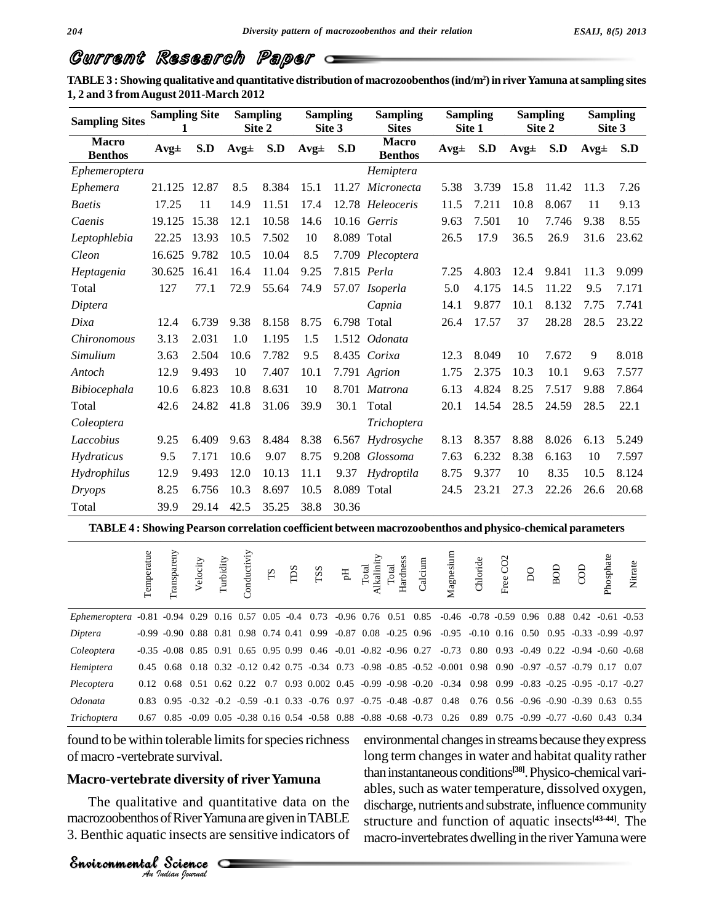**TABLE3 : Showing qualitative and quantitative distribution of macrozoobenthos(ind/m<sup>2</sup>)in riverYamuna atsampling sites 1, 2 and 3 fromAugust 2011-March 2012**

| <b>Sampling Sites</b>          | <b>Sampling Site</b> |       |          | <b>Sampling</b><br>Site 2 |          | <b>Sampling</b><br>Site 3 | <b>Sampling</b><br><b>Sites</b> |          | <b>Sampling</b><br>Site 1 |          | <b>Sampling</b><br>Site 2 | <b>Sampling</b><br>Site 3 |       |  |
|--------------------------------|----------------------|-------|----------|---------------------------|----------|---------------------------|---------------------------------|----------|---------------------------|----------|---------------------------|---------------------------|-------|--|
| <b>Macro</b><br><b>Benthos</b> | $Avg\pm$             | S.D   | $Avg\pm$ | S.D                       | $Avg\pm$ | S.D                       | <b>Macro</b><br><b>Benthos</b>  | $Avg\pm$ | S.D                       | $Avg\pm$ | S.D                       | $Avg\pm$                  |       |  |
| Ephemeroptera                  |                      |       |          |                           |          |                           | Hemiptera                       |          |                           |          |                           |                           |       |  |
| Ephemera                       | 21.125               | 12.87 | 8.5      | 8.384                     | 15.1     |                           | 11.27 Micronecta                | 5.38     | 3.739                     | 15.8     | 11.42                     | 11.3                      | 7.26  |  |
| <b>Baetis</b>                  | 17.25                | 11    | 14.9     | 11.51                     | 17.4     |                           | 12.78 Heleoceris                | 11.5     | 7.211                     | 10.8     | 8.067                     | 11                        | 9.13  |  |
| Caenis                         | 19.125               | 15.38 | 12.1     | 10.58                     | 14.6     |                           | $10.16$ Gerris                  | 9.63     | 7.501                     | 10       | 7.746                     | 9.38                      | 8.55  |  |
| Leptophlebia                   | 22.25                | 13.93 | 10.5     | 7.502                     | 10       | 8.089 Total               |                                 | 26.5     | 17.9                      | 36.5     | 26.9                      | 31.6                      | 23.62 |  |
| Cleon                          | 16.625               | 9.782 | 10.5     | 10.04                     | 8.5      |                           | 7.709 Plecoptera                |          |                           |          |                           |                           |       |  |
| Heptagenia                     | 30.625               | 16.41 | 16.4     | 11.04                     | 9.25     |                           | 7.815 Perla                     | 7.25     | 4.803                     | 12.4     | 9.841                     | 11.3                      | 9.099 |  |
| Total                          | 127                  | 77.1  | 72.9     | 55.64                     | 74.9     |                           | 57.07 Isoperla                  | 5.0      | 4.175                     | 14.5     | 11.22                     | 9.5                       | 7.171 |  |
| Diptera                        |                      |       |          |                           |          |                           | Capnia                          | 14.1     | 9.877                     | 10.1     | 8.132                     | 7.75                      | 7.741 |  |
| Dixa                           | 12.4                 | 6.739 | 9.38     | 8.158                     | 8.75     | 6.798 Total               |                                 | 26.4     | 17.57                     | 37       | 28.28                     | 28.5                      | 23.22 |  |
| <i>Chironomous</i>             | 3.13                 | 2.031 | 1.0      | 1.195                     | 1.5      |                           | 1.512 Odonata                   |          |                           |          |                           |                           |       |  |
| Simulium                       | 3.63                 | 2.504 | 10.6     | 7.782                     | 9.5      |                           | 8.435 Corixa                    | 12.3     | 8.049                     | 10       | 7.672                     | 9                         | 8.018 |  |
| Antoch                         | 12.9                 | 9.493 | 10       | 7.407                     | 10.1     |                           | 7.791 Agrion                    | 1.75     | 2.375                     | 10.3     | 10.1                      | 9.63                      | 7.577 |  |
| Bibiocephala                   | 10.6                 | 6.823 | 10.8     | 8.631                     | 10       |                           | 8.701 Matrona                   | 6.13     | 4.824                     | 8.25     | 7.517                     | 9.88                      | 7.864 |  |
| Total                          | 42.6                 | 24.82 | 41.8     | 31.06                     | 39.9     | 30.1                      | Total                           | 20.1     | 14.54                     | 28.5     | 24.59                     | 28.5                      | 22.1  |  |
| Coleoptera                     |                      |       |          |                           |          |                           | Trichoptera                     |          |                           |          |                           |                           |       |  |
| Laccobius                      | 9.25                 | 6.409 | 9.63     | 8.484                     | 8.38     |                           | 6.567 Hydrosyche                | 8.13     | 8.357                     | 8.88     | 8.026                     | 6.13                      | 5.249 |  |
| Hydraticus                     | 9.5                  | 7.171 | 10.6     | 9.07                      | 8.75     |                           | 9.208 Glossoma                  | 7.63     | 6.232                     | 8.38     | 6.163                     | 10                        | 7.597 |  |
| Hydrophilus                    | 12.9                 | 9.493 | 12.0     | 10.13                     | 11.1     |                           | 9.37 Hydroptila                 | 8.75     | 9.377                     | 10       | 8.35                      | 10.5                      | 8.124 |  |
| <i>Dryops</i>                  | 8.25                 | 6.756 | 10.3     | 8.697                     | 10.5     | 8.089 Total               |                                 | 24.5     | 23.21                     | 27.3     | 22.26                     | 26.6                      | 20.68 |  |
| Total                          | 39.9                 | 29.14 | 42.5     | 35.25                     | 38.8     | 30.36                     |                                 |          |                           |          |                           |                           |       |  |

**TABLE4 : Showing Pearson correlation coefficient between macrozoobenthos and physico-chemical parameters**

|                                  | Temperatue | Transpareny                                               | Velocity | Turbidity | onductiviy | $\mathbf{S}$ | TDS | TSS                                                                | $F_{\rm H}$ | Total<br>alin | Hardness<br><b>otal</b> | Calcium | Magnesium                                                                                                                                             | Chloride                                            | Free CO <sub>2</sub> | $\delta$ | BOD  | පි                   | Phosphate | Nitrate |
|----------------------------------|------------|-----------------------------------------------------------|----------|-----------|------------|--------------|-----|--------------------------------------------------------------------|-------------|---------------|-------------------------|---------|-------------------------------------------------------------------------------------------------------------------------------------------------------|-----------------------------------------------------|----------------------|----------|------|----------------------|-----------|---------|
| $Ephemeroptera -0.81 -0.94 0.29$ |            |                                                           |          |           |            |              |     | $0.16$ $0.57$ $0.05$ $-0.4$ $0.73$ $-0.96$ $0.76$ $0.51$ $0.85$    |             |               |                         |         | $-0.46$ $-0.78$ $-0.59$ $0.96$                                                                                                                        |                                                     |                      |          | 0.88 | $0.42 - 0.61 - 0.53$ |           |         |
| Diptera                          |            | $-0.99$ $-0.90$ $0.88$ $0.81$ $0.98$ $0.74$ $0.41$ $0.99$ |          |           |            |              |     |                                                                    |             |               |                         |         | $-0.87$ $0.08$ $-0.25$ $0.96$ $-0.95$ $-0.10$ $0.16$ $0.50$ $0.95$ $-0.33$ $-0.99$ $-0.97$                                                            |                                                     |                      |          |      |                      |           |         |
| Coleoptera                       |            |                                                           |          |           |            |              |     |                                                                    |             |               |                         |         | $-0.35$ $-0.08$ $0.85$ $0.91$ $0.65$ $0.95$ $0.99$ $0.46$ $-0.01$ $-0.82$ $-0.96$ $0.27$ $-0.73$ $0.80$ $0.93$ $-0.49$ $0.22$ $-0.94$ $-0.60$ $-0.68$ |                                                     |                      |          |      |                      |           |         |
| Hemiptera                        | 0.45       | 0.68                                                      |          |           |            |              |     |                                                                    |             |               |                         |         | $0.18$ $0.32$ $-0.12$ $0.42$ $0.75$ $-0.34$ $0.73$ $-0.98$ $-0.85$ $-0.52$ $-0.001$ $0.98$ $0.90$ $-0.97$ $-0.57$ $-0.79$ $0.17$ $0.07$               |                                                     |                      |          |      |                      |           |         |
| Plecoptera                       |            | 0.12 0.68                                                 |          |           |            |              |     |                                                                    |             |               |                         |         | $0.51$ $0.62$ $0.22$ $0.7$ $0.93$ $0.002$ $0.45$ $-0.99$ $-0.98$ $-0.20$ $-0.34$ $0.98$ $0.99$ $-0.83$ $-0.25$ $-0.95$ $-0.17$ $-0.27$                |                                                     |                      |          |      |                      |           |         |
| <i>Odonata</i>                   | 0.83       |                                                           |          |           |            |              |     | $0.95 -0.32 -0.2 -0.59 -0.1$ $0.33 -0.76$ $0.97 -0.75 -0.48 -0.87$ |             |               |                         |         | 0.48                                                                                                                                                  | $0.76$ $0.56$ $-0.96$ $-0.90$ $-0.39$ $0.63$ $0.55$ |                      |          |      |                      |           |         |
| Trichoptera                      | 0.67       |                                                           |          |           |            |              |     |                                                                    |             |               |                         |         | $0.85 -0.09$ $0.05 -0.38$ $0.16$ $0.54 -0.58$ $0.88 -0.88 -0.68 -0.73$ $0.26$                                                                         | $0.89$ $0.75$ $-0.99$ $-0.77$ $-0.60$ $0.43$ $0.34$ |                      |          |      |                      |           |         |

found to be within tolerable limits for species richness of macro -vertebrate survival.

# *An*Environmental**Macro-vertebrate diversity of riverYamuna**

Science Science<br>Science Science<br>Science The qualitative and quantitative data on the discha macrozoobenthos of River Yamuna are given in TABLE 3. Benthic aquatic insects are sensitive indicators of

environmental changes in streams because they express long term changes in water and habitat quality rather than instantaneous conditions<sup>[38]</sup>. Physico-chemical variables, such as water temperature, dissolved oxygen, discharge, nutrients and substrate, influence community structure and function of aquatic insects **[43-44]**. The macro-invertebrates dwelling in the river Yamuna were

*Indian Journal*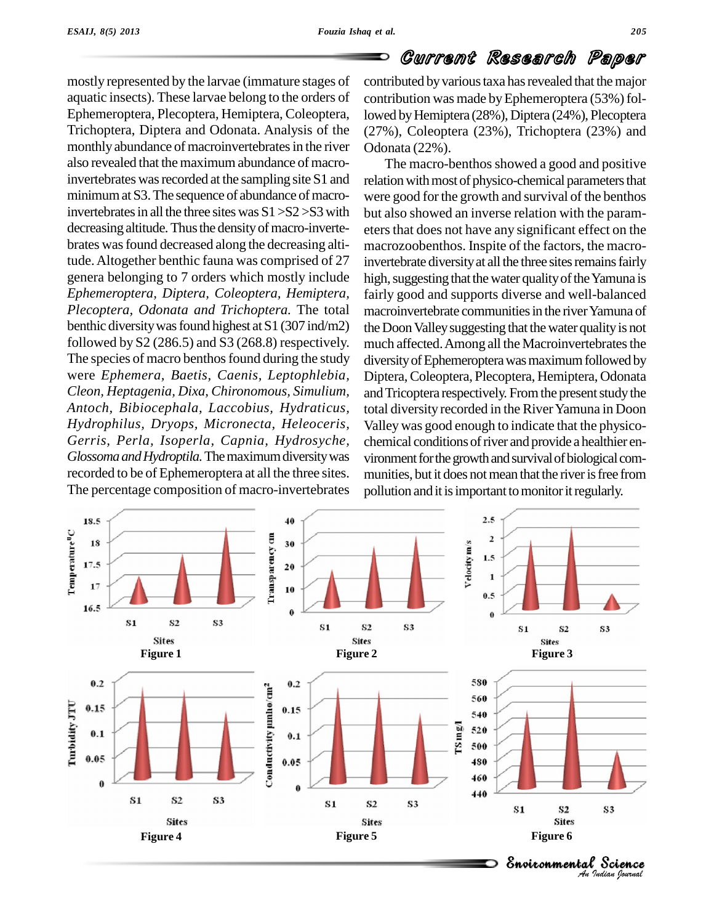mostly represented by the larvae (immature stages of aquatic insects). These larvae belong to the orders of Ephemeroptera, Plecoptera, Hemiptera, Coleoptera, Trichoptera, Diptera and Odonata. Analysis of the monthly abundance of macroinvertebrates in the river also revealed that the maximum abundance of macroinvertebrates was recorded at the sampling site S1 and minimum at S3. The sequence of abundance of macroinvertebrates in all the three sites was  $S1 > S2 > S3$  with decreasing altitude. Thus the density of macro-invertebrates wasfound decreased along the decreasing altitude.Altogether benthic fauna was comprised of 27 genera belonging to 7 orders which mostly include *Ephemeroptera, Diptera, Coleoptera, Hemiptera, Plecoptera, Odonata and Trichoptera.* The total benthic diversity was found highest at  $S1$  (307 ind/m2) followed by  $S2(286.5)$  and  $S3(268.8)$  respectively. The species of macro benthos found during the study were *Ephemera, Baetis, Caenis, Leptophlebia, Cleon, Heptagenia, Dixa, Chironomous, Simulium, Antoch, Bibiocephala, Laccobius, Hydraticus, Hydrophilus, Dryops, Micronecta, Heleoceris, Gerris, Perla, Isoperla, Capnia, Hydrosyche, GlossomaandHydroptila.*Themaximumdiversitywas recorded to be of Ephemeroptera at all the three sites. The percentage composition of macro-invertebrates

### Current Research Paper

contributed by various taxa has revealed that the major contribution was made by Ephemeroptera (53%) followed by Hemiptera (28%), Diptera (24%), Plecoptera (27%), Coleoptera (23%), Trichoptera (23%) and Odonata (22%).

The macro-benthos showed a good and positive relation with most of physico-chemical parameters that were good forthe growth and survival of the benthos but also showed an inverse relation with the param eters that does not have any significant effect on the macrozoobenthos. Inspite of the factors, the macroinvertebrate diversity at all the three sites remains fairly high, suggesting that the water quality of the Yamuna is fairly good and supports diverse and well-balanced macroinvertebrate communities in the river Yamuna of the Doon Valley suggesting that the water quality is not much affected. Among all the Macroinvertebrates the diversity of Ephemeroptera was maximum followed by Diptera,Coleoptera, Plecoptera, Hemiptera, Odonata and Tricoptera respectively. From the present study the total diversity recorded in the River Yamuna in Doon Valley was good enough to indicate that the physico chemical conditions of river and provide a healthier environment for the growth and survival of biological communities, but it does not mean that the river is free from pollution and it is important to monitor it regularly.

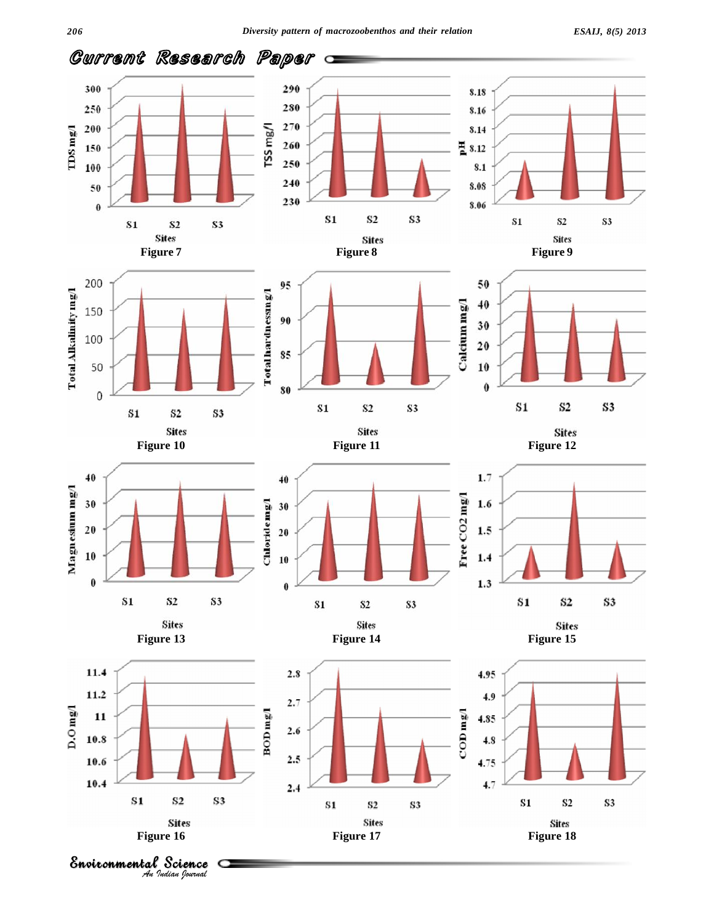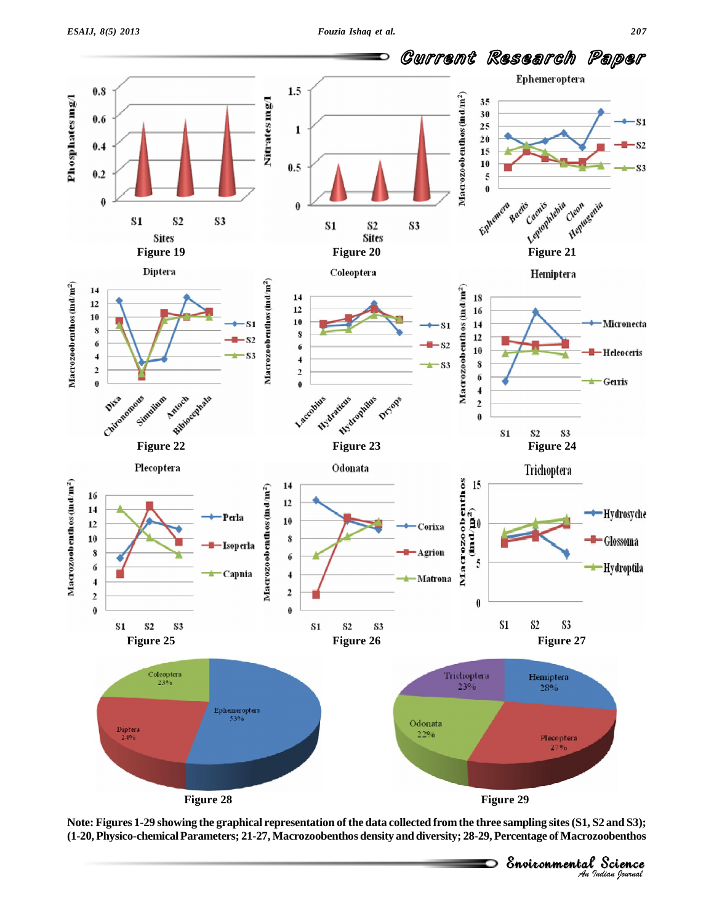*Indian Journal*



Note: Figures 1-29 showing the graphical representation of the data collected from the three sampling sites (S1, S2 and S3); **(1-20, Physico-chemicalParameters; 21-27, Macrozoobenthos density and diversity; 28-29, Percentage of Macrozoobenthos**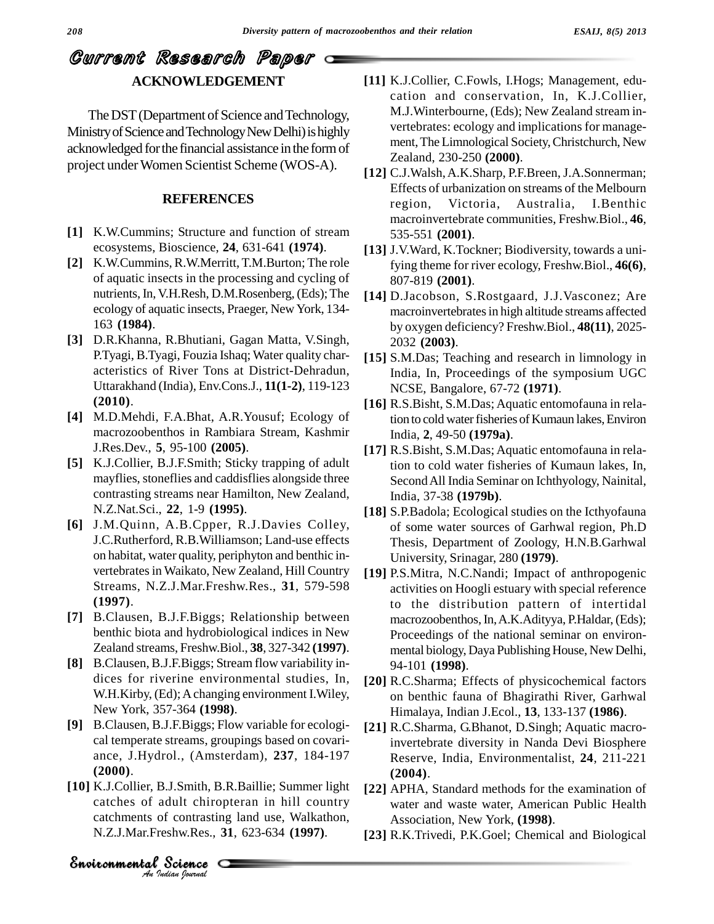# Current Research Paper **ACKNOWLEDGEMENT**

The DST (Department of Science and Technology, Ministry of Science and Technology New Delhi) is highly acknowledged forthe financial assistance inthe formof project underWomen Scientist Scheme (WOS-A).

#### **REFERENCES**

- [1] K.W.Cummins; Structure and function of stream ecosystems, Bioscience, **24**, 631-641 **(1974)**.
- **[2]** K.W.Cummins, R.W.Merritt,T.M.Burton; The role of aquatic insects in the processing and cycling of nutrients, In, V.H.Resh, D.M.Rosenberg, (Eds); The ecology of aquatic insects, Praeger, New York, 134- 163 **(1984)**.
- **[3]** D.R.Khanna, R.Bhutiani, Gagan Matta, V.Singh, P.Tyagi, B.Tyagi, Fouzia Ishaq; Water quality char acteristics of River Tons at District-Dehradun, Uttarakhand (India), Env.Cons.J., **11(1-2)**, 119-123 **(2010)**.
- **[4]** M.D.Mehdi, F.A.Bhat, A.R.Yousuf; Ecology of macrozoobenthos in Rambiara Stream, Kashmir J.Res.Dev., **5**, 95-100 **(2005)**.
- **[5]** K.J.Collier, B.J.F.Smith; Sticky trapping of adult mayflies, stoneflies and caddisflies alongside three contrasting streams near Hamilton, New Zealand, N.Z.Nat.Sci., **22**, 1-9 **(1995)**.
- **[6]** J.M.Quinn, A.B.Cpper, R.J.Davies Colley, J.C.Rutherford, R.B.Williamson; Land-use effects on habitat, water quality, periphyton and benthic in vertebrates in Waikato, New Zealand, Hill Country Streams, N.Z.J.Mar.Freshw.Res., **31**, 579-598 **(1997)**.
- **[7]** B.Clausen, B.J.F.Biggs; Relationship between benthic biota and hydrobiological indices in New Zealand streams, Freshw.Biol., **38**, 327-342 **(1997)**.
- **[8]** B.Clausen, B.J.F.Biggs; Stream flow variability in dices for riverine environmental studies, In, W.H.Kirby, (Ed); A changing environment I.Wiley, New York, 357-364 **(1998)**.
- $(2000)$ . **[9]** B.Clausen, B.J.F.Biggs; Flow variable for ecologi cal temperate streams, groupings based on covari ance, J.Hydrol., (Amsterdam), **237**, 184-197
- J.Smith, B.R.E.<br>dult chiropter<br>f contrasting lashw.Res., 31, **[10]** K.J.Collier, B.J.Smith, B.R.Baillie; Summer light catches of adult chiropteran in hill country catchments of contrasting land use, Walkathon, N.Z.J.Mar.Freshw.Res., **31**, 623-634 **(1997)**.

*Indian Journal*

- **[11]** K.J.Collier, C.Fowls, I.Hogs; Management, edu cation and conservation, In, K.J.Collier, M.J.Winterbourne, (Eds); New Zealand stream in vertebrates: ecology and implications for manage ment,The Limnological Society,Christchurch, New Zealand, 230-250 **(2000)**.
- **[12]** C.J.Walsh,A.K.Sharp, P.F.Breen,J.A.Sonnerman; Effects of urbanization on streams of the Melbourn region, Victoria, Australia, I.Benthic macroinvertebrate communities, Freshw.Biol., **46**, 535-551 **(2001)**.
- **[13]** J.V.Ward, K.Tockner; Biodiversity, towards a unifying theme for river ecology, Freshw.Biol., **46(6)**, 807-819 **(2001)**.
- **[14]** D.Jacobson, S.Rostgaard, J.J.Vasconez; Are macroinvertebrates in high altitude streams affected by oxygen deficiency? Freshw.Biol., **48(11)**, 2025- 2032 **(2003)**.
- **[15]** S.M.Das; Teaching and research in limnology in India, In, Proceedings of the symposium UGC NCSE, Bangalore, 67-72 **(1971)**.
- **[16]** R.S.Bisht, S.M.Das; Aquatic entomofauna in relation to cold water fisheries of Kumaun lakes, Environ India, **2**, 49-50 **(1979a)**.
- **[17]** R.S.Bisht, S.M.Das; Aquatic entomofauna in relation to cold water fisheries of Kumaun lakes, In, SecondAll India Seminar on Ichthyology, Nainital, India, 37-38 **(1979b)**.
- **[18]** S.P.Badola; Ecological studies on the Icthyofauna of some water sources of Garhwal region, Ph.D Thesis, Department of Zoology, H.N.B.Garhwal University, Srinagar, 280 **(1979)**.
- **[19]** P.S.Mitra, N.C.Nandi; Impact of anthropogenic activities on Hoogli estuary with special reference to the distribution pattern of intertidal macrozoobenthos, In, A.K.Adityya, P.Haldar, (Eds); Proceedings of the national seminar on environ mental biology, Daya Publishing House, New Delhi, 94-101 **(1998)**.
- **[20]** R.C.Sharma; Effects of physicochemical factors on benthic fauna of Bhagirathi River, Garhwal Himalaya, Indian J.Ecol., **13**, 133-137 **(1986)**.
- **[21]** R.C.Sharma, G.Bhanot, D.Singh; Aquatic macroinvertebrate diversity in Nanda Devi Biosphere Reserve, India, Environmentalist, **24**, 211-221 **(2004)**.
- **[22]** APHA, Standard methods for the examination of water and waste water, American Public Health Association, New York, **(1998)**.
- **[23]** R.K.Trivedi, P.K.Goel; Chemical and Biological